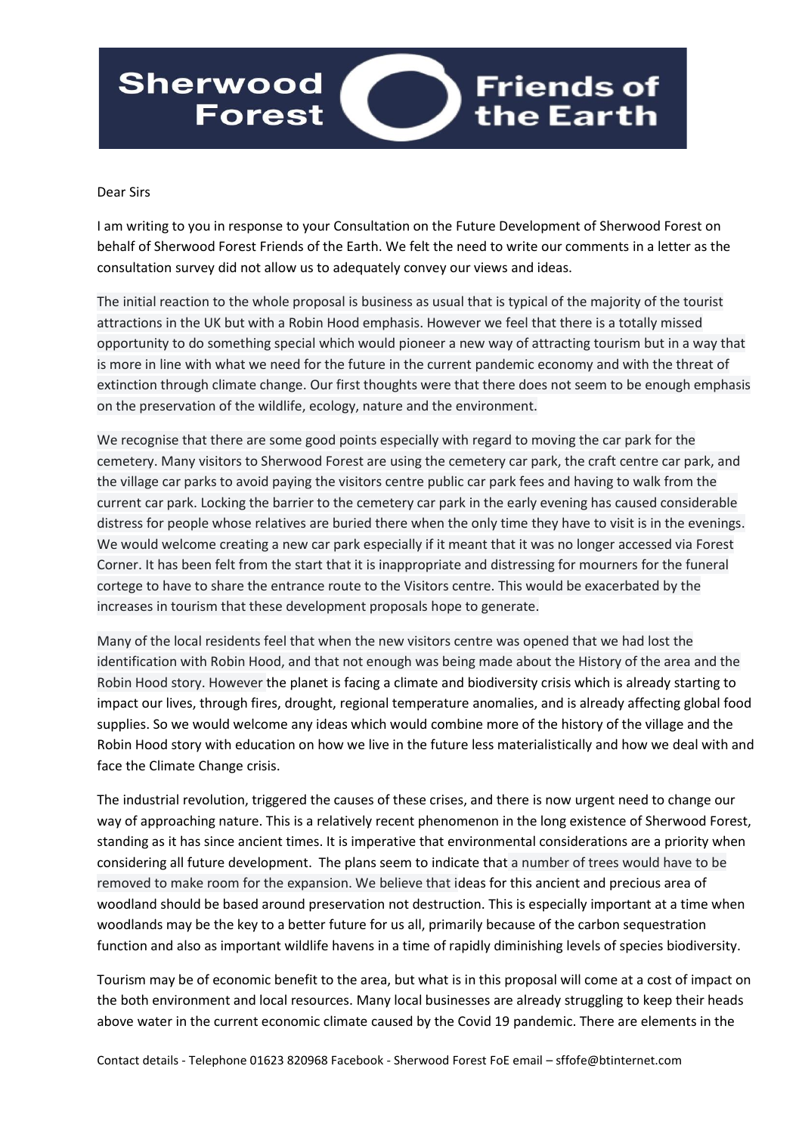## **Sherwood Friends of** the Earth **Forest**

## Dear Sirs

I am writing to you in response to your Consultation on the Future Development of Sherwood Forest on behalf of Sherwood Forest Friends of the Earth. We felt the need to write our comments in a letter as the consultation survey did not allow us to adequately convey our views and ideas.

The initial reaction to the whole proposal is business as usual that is typical of the majority of the tourist attractions in the UK but with a Robin Hood emphasis. However we feel that there is a totally missed opportunity to do something special which would pioneer a new way of attracting tourism but in a way that is more in line with what we need for the future in the current pandemic economy and with the threat of extinction through climate change. Our first thoughts were that there does not seem to be enough emphasis on the preservation of the wildlife, ecology, nature and the environment.

We recognise that there are some good points especially with regard to moving the car park for the cemetery. Many visitors to Sherwood Forest are using the cemetery car park, the craft centre car park, and the village car parks to avoid paying the visitors centre public car park fees and having to walk from the current car park. Locking the barrier to the cemetery car park in the early evening has caused considerable distress for people whose relatives are buried there when the only time they have to visit is in the evenings. We would welcome creating a new car park especially if it meant that it was no longer accessed via Forest Corner. It has been felt from the start that it is inappropriate and distressing for mourners for the funeral cortege to have to share the entrance route to the Visitors centre. This would be exacerbated by the increases in tourism that these development proposals hope to generate.

Many of the local residents feel that when the new visitors centre was opened that we had lost the identification with Robin Hood, and that not enough was being made about the History of the area and the Robin Hood story. However the planet is facing a climate and biodiversity crisis which is already starting to impact our lives, through fires, drought, regional temperature anomalies, and is already affecting global food supplies. So we would welcome any ideas which would combine more of the history of the village and the Robin Hood story with education on how we live in the future less materialistically and how we deal with and face the Climate Change crisis.

The industrial revolution, triggered the causes of these crises, and there is now urgent need to change our way of approaching nature. This is a relatively recent phenomenon in the long existence of Sherwood Forest, standing as it has since ancient times. It is imperative that environmental considerations are a priority when considering all future development. The plans seem to indicate that a number of trees would have to be removed to make room for the expansion. We believe that ideas for this ancient and precious area of woodland should be based around preservation not destruction. This is especially important at a time when woodlands may be the key to a better future for us all, primarily because of the carbon sequestration function and also as important wildlife havens in a time of rapidly diminishing levels of species biodiversity.

Tourism may be of economic benefit to the area, but what is in this proposal will come at a cost of impact on the both environment and local resources. Many local businesses are already struggling to keep their heads above water in the current economic climate caused by the Covid 19 pandemic. There are elements in the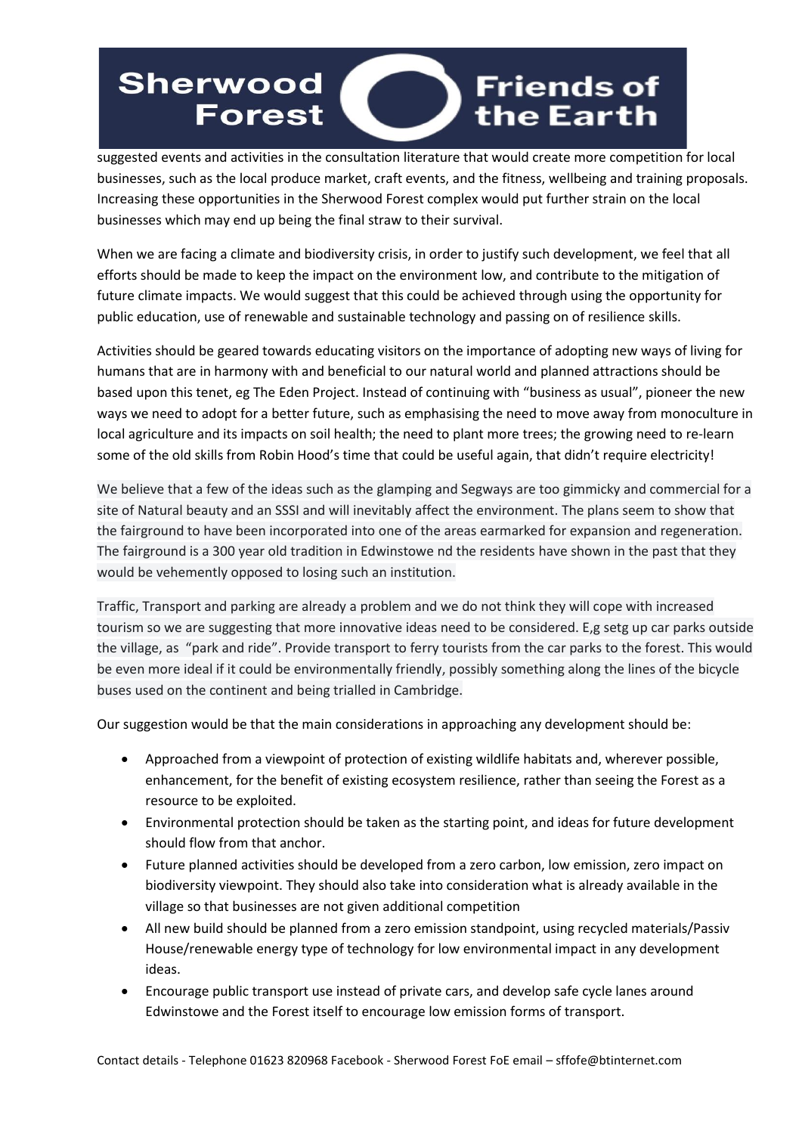## **Sherwood Friends of** the Earth **Forest**

suggested events and activities in the consultation literature that would create more competition for local businesses, such as the local produce market, craft events, and the fitness, wellbeing and training proposals. Increasing these opportunities in the Sherwood Forest complex would put further strain on the local businesses which may end up being the final straw to their survival.

When we are facing a climate and biodiversity crisis, in order to justify such development, we feel that all efforts should be made to keep the impact on the environment low, and contribute to the mitigation of future climate impacts. We would suggest that this could be achieved through using the opportunity for public education, use of renewable and sustainable technology and passing on of resilience skills.

Activities should be geared towards educating visitors on the importance of adopting new ways of living for humans that are in harmony with and beneficial to our natural world and planned attractions should be based upon this tenet, eg The Eden Project. Instead of continuing with "business as usual", pioneer the new ways we need to adopt for a better future, such as emphasising the need to move away from monoculture in local agriculture and its impacts on soil health; the need to plant more trees; the growing need to re-learn some of the old skills from Robin Hood's time that could be useful again, that didn't require electricity!

We believe that a few of the ideas such as the glamping and Segways are too gimmicky and commercial for a site of Natural beauty and an SSSI and will inevitably affect the environment. The plans seem to show that the fairground to have been incorporated into one of the areas earmarked for expansion and regeneration. The fairground is a 300 year old tradition in Edwinstowe nd the residents have shown in the past that they would be vehemently opposed to losing such an institution.

Traffic, Transport and parking are already a problem and we do not think they will cope with increased tourism so we are suggesting that more innovative ideas need to be considered. E,g setg up car parks outside the village, as "park and ride". Provide transport to ferry tourists from the car parks to the forest. This would be even more ideal if it could be environmentally friendly, possibly something along the lines of the bicycle buses used on the continent and being trialled in Cambridge.

Our suggestion would be that the main considerations in approaching any development should be:

- Approached from a viewpoint of protection of existing wildlife habitats and, wherever possible, enhancement, for the benefit of existing ecosystem resilience, rather than seeing the Forest as a resource to be exploited.
- Environmental protection should be taken as the starting point, and ideas for future development should flow from that anchor.
- Future planned activities should be developed from a zero carbon, low emission, zero impact on biodiversity viewpoint. They should also take into consideration what is already available in the village so that businesses are not given additional competition
- All new build should be planned from a zero emission standpoint, using recycled materials/Passiv House/renewable energy type of technology for low environmental impact in any development ideas.
- Encourage public transport use instead of private cars, and develop safe cycle lanes around Edwinstowe and the Forest itself to encourage low emission forms of transport.